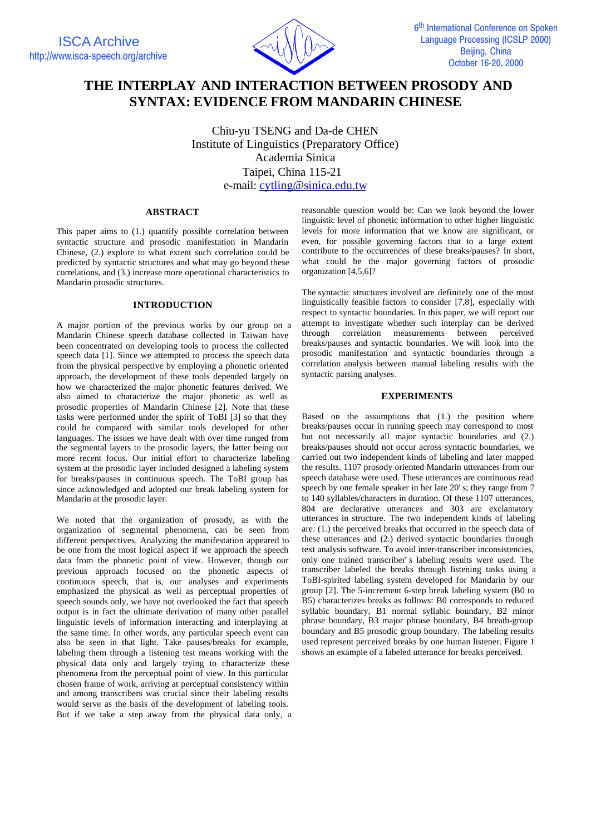

# **THE INTERPLAY AND INTERACTION BETWEEN PROSODY AND SYNTAX: EVIDENCE FROM MANDARIN CHINESE**

Chiu-yu TSENG and Da-de CHEN Institute of Linguistics (Preparatory Office) Academia Sinica Taipei, China 115-21 e-mail: cytling@sinica.edu.tw

# **ABSTRACT**

This paper aims to (1.) quantify possible correlation between syntactic structure and prosodic manifestation in Mandarin Chinese, (2.) explore to what extent such correlation could be predicted by syntactic structures and what may go beyond these correlations, and (3.) increase more operational characteristics to Mandarin prosodic structures.

## **INTRODUCTION**

A major portion of the previous works by our group on a Mandarin Chinese speech database collected in Taiwan have been concentrated on developing tools to process the collected speech data [1]. Since we attempted to process the speech data from the physical perspective by employing a phonetic oriented approach, the development of these tools depended largely on how we characterized the major phonetic features derived. We also aimed to characterize the major phonetic as well as prosodic properties of Mandarin Chinese [2]. Note that these tasks were performed under the spirit of ToBI [3] so that they could be compared with similar tools developed for other languages. The issues we have dealt with over time ranged from the segmental layers to the prosodic layers, the latter being our more recent focus. Our initial effort to characterize labeling system at the prosodic layer included designed a labeling system for breaks/pauses in continuous speech. The ToBI group has since acknowledged and adopted our break labeling system for Mandarin at the prosodic layer.

We noted that the organization of prosody, as with the organization of segmental phenomena, can be seen from different perspectives. Analyzing the manifestation appeared to be one from the most logical aspect if we approach the speech data from the phonetic point of view. However, though our previous approach focused on the phonetic aspects of continuous speech, that is, our analyses and experiments emphasized the physical as well as perceptual properties of speech sounds only, we have not overlooked the fact that speech output is in fact the ultimate derivation of many other parallel linguistic levels of information interacting and interplaying at the same time. In other words, any particular speech event can also be seen in that light. Take pauses/breaks for example, labeling them through a listening test means working with the physical data only and largely trying to characterize these phenomena from the perceptual point of view. In this particular chosen frame of work, arriving at perceptual consistency within and among transcribers was crucial since their labeling results would serve as the basis of the development of labeling tools. But if we take a step away from the physical data only, a reasonable question would be: Can we look beyond the lower linguistic level of phonetic information to other higher linguistic levels for more information that we know are significant, or even, for possible governing factors that to a large extent contribute to the occurrences of these breaks/pauses? In short, what could be the major governing factors of prosodic organization [4,5,6]?

The syntactic structures involved are definitely one of the most linguistically feasible factors to consider [7,8], especially with respect to syntactic boundaries. In this paper, we will report our attempt to investigate whether such interplay can be derived through correlation measurements between perceived breaks/pauses and syntactic boundaries. We will look into the prosodic manifestation and syntactic boundaries through a correlation analysis between manual labeling results with the syntactic parsing analyses.

## **EXPERIMENTS**

Based on the assumptions that (1.) the position where breaks/pauses occur in running speech may correspond to most but not necessarily all major syntactic boundaries and (2.) breaks/pauses should not occur across syntactic boundaries, we carried out two independent kinds of labeling and later mapped the results. 1107 prosody oriented Mandarin utterances from our speech database were used. These utterances are continuous read speech by one female speaker in her late 20's; they range from 7 to 140 syllables/characters in duration. Of these 1107 utterances, 804 are declarative utterances and 303 are exclamatory utterances in structure. The two independent kinds of labeling are: (1.) the perceived breaks that occurred in the speech data of these utterances and (2.) derived syntactic boundaries through text analysis software. To avoid inter-transcriber inconsistencies, only one trained transcriber's labeling results were used. The transcriber labeled the breaks through listening tasks using a ToBI-spirited labeling system developed for Mandarin by our group [2]. The 5-increment 6-step break labeling system (B0 to B5) characterizes breaks as follows: B0 corresponds to reduced syllabic boundary, B1 normal syllabic boundary, B2 minor phrase boundary, B3 major phrase boundary, B4 breath-group boundary and B5 prosodic group boundary. The labeling results used represent perceived breaks by one human listener. Figure 1 shows an example of a labeled utterance for breaks perceived.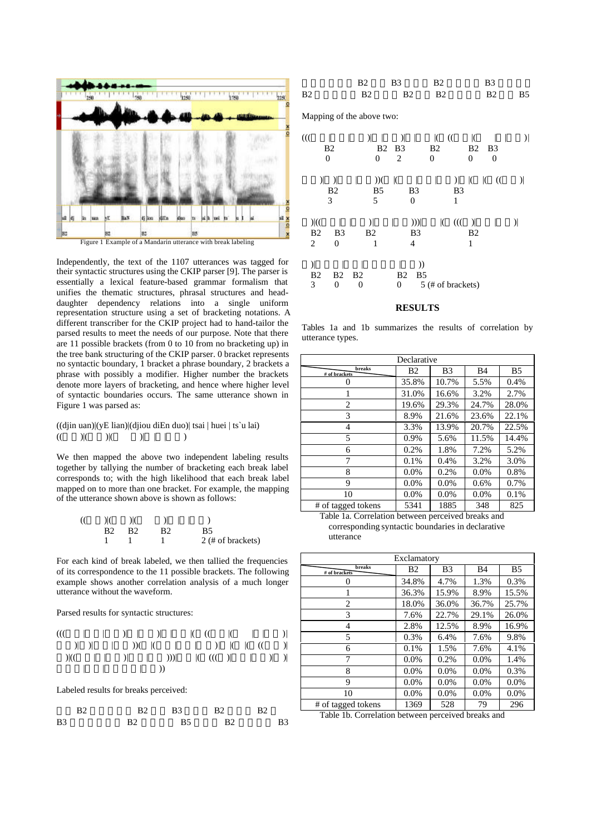

Independently, the text of the 1107 utterances was tagged for their syntactic structures using the CKIP parser [9]. The parser is essentially a lexical feature-based grammar formalism that unifies the thematic structures, phrasal structures and headdaughter dependency relations into a single uniform representation structure using a set of bracketing notations. A different transcriber for the CKIP project had to hand-tailor the parsed results to meet the needs of our purpose. Note that there are 11 possible brackets (from 0 to 10 from no bracketing up) in the tree bank structuring of the CKIP parser. 0 bracket represents no syntactic boundary, 1 bracket a phrase boundary, 2 brackets a phrase with possibly a modifier. Higher number the brackets denote more layers of bracketing, and hence where higher level of syntactic boundaries occurs. The same utterance shown in Figure 1 was parsed as:

 $((\text{djin } \text{uan}) | (\text{yE } \text{lian}) | (\text{djiou } \text{diEn } \text{duo}) | \text{tsai } | \text{huei } | \text{ts'u } \text{lai})$  $(() |() |() |() | () | () | () | () | ()$ 

We then mapped the above two independent labeling results together by tallying the number of bracketing each break label corresponds to; with the high likelihood that each break label mapped on to more than one bracket. For example, the mapping of the utterance shown above is shown as follows:

| ( | $\mathbb{R}$   |      | $\ $ $\ $      |    |                   |
|---|----------------|------|----------------|----|-------------------|
|   | B <sub>2</sub> | - B2 | B <sub>2</sub> | B5 |                   |
|   |                |      |                |    | 2 (# of brackets) |

For each kind of break labeled, we then tallied the frequencies of its correspondence to the 11 possible brackets. The following example shows another correlation analysis of a much longer utterance without the waveform.

Parsed results for syntactic structures:

(((台電|核能|四廠)| |發包)| |吸引|( ((美國|( | |西屋)| 公司)| )|高度|興趣))( |(美國|波音|公司)| |( |( ((我國)| )|((中華| |長榮)|航空|公司)))|推銷|( ((( )|即將|問世)| )| 最新型|波音|七七七型|飛機))

Labeled results for breaks perceived:

| B2 | R <sup>2</sup> | <b>B</b> 3 | B <sub>2</sub> | R <sup>2</sup> |
|----|----------------|------------|----------------|----------------|
| B3 | R <sub>2</sub> | R5         | R2             | B <sub>3</sub> |

|                | R <sub>2</sub> R <sub>3</sub> R <sub>2</sub> | R <sup>3</sup> |  |
|----------------|----------------------------------------------|----------------|--|
| B <sub>2</sub> | R2 B2 B2                                     | <b>B2</b> B5   |  |

Mapping of the above two:

| 00<br>0                                           | B <sub>2</sub>                                    | $\mathcal{Y}$<br><b>B2</b><br>0 | $\mathcal{Y}$<br>B <sub>3</sub><br>2        | K<br>$\mathcal{L}$<br>B <sub>2</sub><br>$\overline{0}$ | K<br>B <sub>2</sub><br>$\overline{0}$ | B3<br>0       |               |
|---------------------------------------------------|---------------------------------------------------|---------------------------------|---------------------------------------------|--------------------------------------------------------|---------------------------------------|---------------|---------------|
| $\lambda$                                         | $\lambda$<br>B <sub>2</sub><br>3                  | ))<br>B <sub>5</sub><br>5       | $\mathcal{I}$<br>B3<br>0                    | $\mathcal{L}$<br>B <sub>3</sub><br>1                   | $\mathcal{K}$<br>$\mathcal{K}$        | $\mathcal{L}$ | $\mathcal{Y}$ |
| $\mathcal{K}$<br>B <sub>2</sub><br>$\overline{c}$ | B <sub>3</sub><br>$\Omega$                        | $\vert$<br>B <sub>2</sub><br>1  | ))<br>B <sub>3</sub><br>4                   | $\mathcal{H}$<br>$\mathcal{K}$                         | $\vert$<br>B <sub>2</sub><br>1        |               | $\mathcal{Y}$ |
| $\mathcal{Y}$<br>B <sub>2</sub><br>3              | B <sub>2</sub><br>B <sub>2</sub><br>$\Omega$<br>0 |                                 | ))<br>B <sub>2</sub><br>B <sub>5</sub><br>0 | 5 (# of brackets)                                      |                                       |               |               |

#### **RESULTS**

Tables 1a and 1b summarizes the results of correlation by utterance types.

| Declarative             |           |                |       |       |  |  |
|-------------------------|-----------|----------------|-------|-------|--|--|
| breaks<br># of brackets | <b>B2</b> | B <sub>3</sub> | B4    | B5    |  |  |
|                         | 35.8%     | 10.7%          | 5.5%  | 0.4%  |  |  |
|                         | 31.0%     | 16.6%          | 3.2%  | 2.7%  |  |  |
| 2                       | 19.6%     | 29.3%          | 24.7% | 28.0% |  |  |
| 3                       | 8.9%      | 21.6%          | 23.6% | 22.1% |  |  |
| 4                       | 3.3%      | 13.9%          | 20.7% | 22.5% |  |  |
| 5                       | 0.9%      | 5.6%           | 11.5% | 14.4% |  |  |
| 6                       | 0.2%      | 1.8%           | 7.2%  | 5.2%  |  |  |
| 7                       | 0.1%      | 0.4%           | 3.2%  | 3.0%  |  |  |
| 8                       | $0.0\%$   | 0.2%           | 0.0%  | 0.8%  |  |  |
| 9                       | $0.0\%$   | 0.0%           | 0.6%  | 0.7%  |  |  |
| 10                      | $0.0\%$   | 0.0%           | 0.0%  | 0.1%  |  |  |
| # of tagged tokens      | 5341      | 1885           | 348   | 825   |  |  |

Table 1a. Correlation between perceived breaks and corresponding syntactic boundaries in declarative utterance

| Exclamatory                                                 |         |         |         |       |  |  |  |  |
|-------------------------------------------------------------|---------|---------|---------|-------|--|--|--|--|
| breaks<br>B2<br>B5<br>B <sub>3</sub><br>B4<br># of brackets |         |         |         |       |  |  |  |  |
|                                                             | 34.8%   | 4.7%    | 1.3%    | 0.3%  |  |  |  |  |
|                                                             | 36.3%   | 15.9%   | 8.9%    | 15.5% |  |  |  |  |
| 2                                                           | 18.0%   | 36.0%   | 36.7%   | 25.7% |  |  |  |  |
| 3                                                           | 7.6%    | 22.7%   | 29.1%   | 26.0% |  |  |  |  |
| 4                                                           | 2.8%    | 12.5%   | 8.9%    | 16.9% |  |  |  |  |
| 5                                                           | 0.3%    | 6.4%    | 7.6%    | 9.8%  |  |  |  |  |
| 6                                                           | 0.1%    | 1.5%    | 7.6%    | 4.1%  |  |  |  |  |
| 7                                                           | $0.0\%$ | 0.2%    | 0.0%    | 1.4%  |  |  |  |  |
| 8                                                           | $0.0\%$ | $0.0\%$ | 0.0%    | 0.3%  |  |  |  |  |
| 9                                                           | $0.0\%$ | 0.0%    | $0.0\%$ | 0.0%  |  |  |  |  |
| 10                                                          | $0.0\%$ | 0.0%    | $0.0\%$ | 0.0%  |  |  |  |  |
| # of tagged tokens                                          | 1369    | 528     | 79      | 296   |  |  |  |  |

Table 1b. Correlation between perceived breaks and